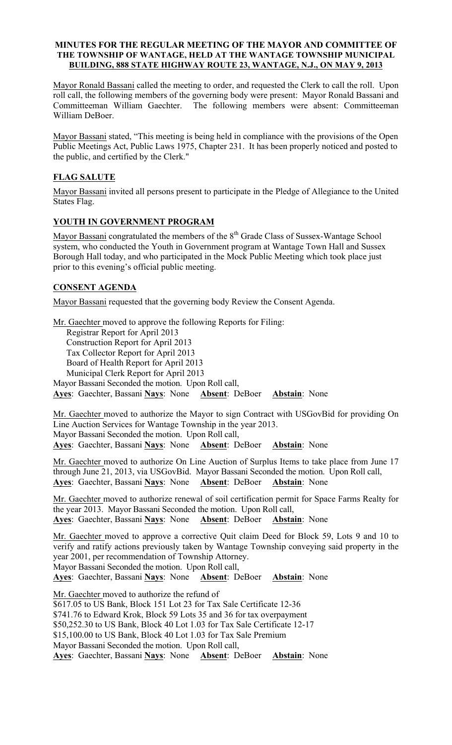#### MINUTES FOR THE REGULAR MEETING OF THE MAYOR AND COMMITTEE OF THE TOWNSHIP OF WANTAGE, HELD AT THE WANTAGE TOWNSHIP MUNICIPAL BUILDING, 888 STATE HIGHWAY ROUTE 23, WANTAGE, N.J., ON MAY 9, 2013

Mayor Ronald Bassani called the meeting to order, and requested the Clerk to call the roll. Upon roll call, the following members of the governing body were present: Mayor Ronald Bassani and Committeeman William Gaechter. The following members were absent: Committeeman William DeBoer.

Mayor Bassani stated, "This meeting is being held in compliance with the provisions of the Open Public Meetings Act, Public Laws 1975, Chapter 231. It has been properly noticed and posted to the public, and certified by the Clerk."

# FLAG SALUTE

Mayor Bassani invited all persons present to participate in the Pledge of Allegiance to the United States Flag.

# YOUTH IN GOVERNMENT PROGRAM

Mayor Bassani congratulated the members of the 8<sup>th</sup> Grade Class of Sussex-Wantage School system, who conducted the Youth in Government program at Wantage Town Hall and Sussex Borough Hall today, and who participated in the Mock Public Meeting which took place just prior to this evening's official public meeting.

# CONSENT AGENDA

Mayor Bassani requested that the governing body Review the Consent Agenda.

Mr. Gaechter moved to approve the following Reports for Filing: Registrar Report for April 2013 Construction Report for April 2013 Tax Collector Report for April 2013 Board of Health Report for April 2013 Municipal Clerk Report for April 2013 Mayor Bassani Seconded the motion. Upon Roll call, Ayes: Gaechter, Bassani Nays: None Absent: DeBoer Abstain: None

Mr. Gaechter moved to authorize the Mayor to sign Contract with USGovBid for providing On Line Auction Services for Wantage Township in the year 2013. Mayor Bassani Seconded the motion. Upon Roll call, Ayes: Gaechter, Bassani Nays: None Absent: DeBoer Abstain: None

Mr. Gaechter moved to authorize On Line Auction of Surplus Items to take place from June 17 through June 21, 2013, via USGovBid. Mayor Bassani Seconded the motion. Upon Roll call, Ayes: Gaechter, Bassani Nays: None Absent: DeBoer Abstain: None

Mr. Gaechter moved to authorize renewal of soil certification permit for Space Farms Realty for the year 2013. Mayor Bassani Seconded the motion. Upon Roll call, Ayes: Gaechter, Bassani Nays: None Absent: DeBoer Abstain: None

Mr. Gaechter moved to approve a corrective Quit claim Deed for Block 59, Lots 9 and 10 to verify and ratify actions previously taken by Wantage Township conveying said property in the year 2001, per recommendation of Township Attorney.

Mayor Bassani Seconded the motion. Upon Roll call,

Ayes: Gaechter, Bassani Nays: None Absent: DeBoer Abstain: None

Mr. Gaechter moved to authorize the refund of \$617.05 to US Bank, Block 151 Lot 23 for Tax Sale Certificate 12-36 \$741.76 to Edward Krok, Block 59 Lots 35 and 36 for tax overpayment \$50,252.30 to US Bank, Block 40 Lot 1.03 for Tax Sale Certificate 12-17 \$15,100.00 to US Bank, Block 40 Lot 1.03 for Tax Sale Premium Mayor Bassani Seconded the motion. Upon Roll call, Ayes: Gaechter, Bassani Nays: None Absent: DeBoer Abstain: None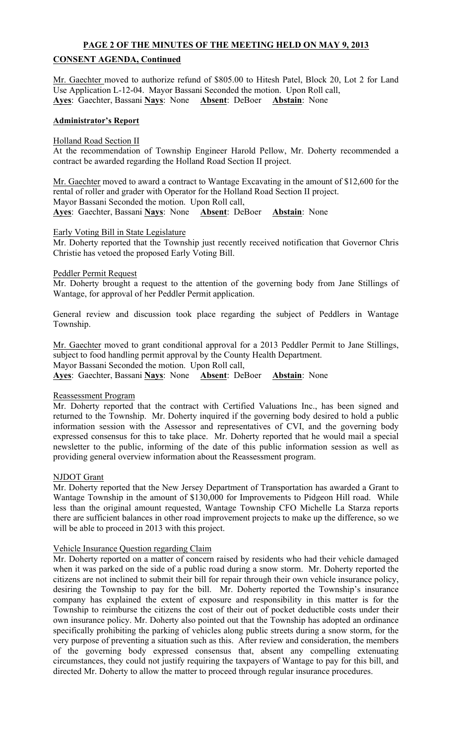# PAGE 2 OF THE MINUTES OF THE MEETING HELD ON MAY 9, 2013

# CONSENT AGENDA, Continued

Mr. Gaechter moved to authorize refund of \$805.00 to Hitesh Patel, Block 20, Lot 2 for Land Use Application L-12-04. Mayor Bassani Seconded the motion. Upon Roll call, Ayes: Gaechter, Bassani Nays: None Absent: DeBoer Abstain: None

#### Administrator's Report

#### Holland Road Section II

At the recommendation of Township Engineer Harold Pellow, Mr. Doherty recommended a contract be awarded regarding the Holland Road Section II project.

Mr. Gaechter moved to award a contract to Wantage Excavating in the amount of \$12,600 for the rental of roller and grader with Operator for the Holland Road Section II project. Mayor Bassani Seconded the motion. Upon Roll call, Ayes: Gaechter, Bassani Nays: None Absent: DeBoer Abstain: None

#### Early Voting Bill in State Legislature

Mr. Doherty reported that the Township just recently received notification that Governor Chris Christie has vetoed the proposed Early Voting Bill.

#### Peddler Permit Request

Mr. Doherty brought a request to the attention of the governing body from Jane Stillings of Wantage, for approval of her Peddler Permit application.

General review and discussion took place regarding the subject of Peddlers in Wantage Township.

Mr. Gaechter moved to grant conditional approval for a 2013 Peddler Permit to Jane Stillings, subject to food handling permit approval by the County Health Department.

Mayor Bassani Seconded the motion. Upon Roll call,

Ayes: Gaechter, Bassani Nays: None Absent: DeBoer Abstain: None

### Reassessment Program

Mr. Doherty reported that the contract with Certified Valuations Inc., has been signed and returned to the Township. Mr. Doherty inquired if the governing body desired to hold a public information session with the Assessor and representatives of CVI, and the governing body expressed consensus for this to take place. Mr. Doherty reported that he would mail a special newsletter to the public, informing of the date of this public information session as well as providing general overview information about the Reassessment program.

#### NJDOT Grant

Mr. Doherty reported that the New Jersey Department of Transportation has awarded a Grant to Wantage Township in the amount of \$130,000 for Improvements to Pidgeon Hill road. While less than the original amount requested, Wantage Township CFO Michelle La Starza reports there are sufficient balances in other road improvement projects to make up the difference, so we will be able to proceed in 2013 with this project.

### Vehicle Insurance Question regarding Claim

Mr. Doherty reported on a matter of concern raised by residents who had their vehicle damaged when it was parked on the side of a public road during a snow storm. Mr. Doherty reported the citizens are not inclined to submit their bill for repair through their own vehicle insurance policy, desiring the Township to pay for the bill. Mr. Doherty reported the Township's insurance company has explained the extent of exposure and responsibility in this matter is for the Township to reimburse the citizens the cost of their out of pocket deductible costs under their own insurance policy. Mr. Doherty also pointed out that the Township has adopted an ordinance specifically prohibiting the parking of vehicles along public streets during a snow storm, for the very purpose of preventing a situation such as this. After review and consideration, the members of the governing body expressed consensus that, absent any compelling extenuating circumstances, they could not justify requiring the taxpayers of Wantage to pay for this bill, and directed Mr. Doherty to allow the matter to proceed through regular insurance procedures.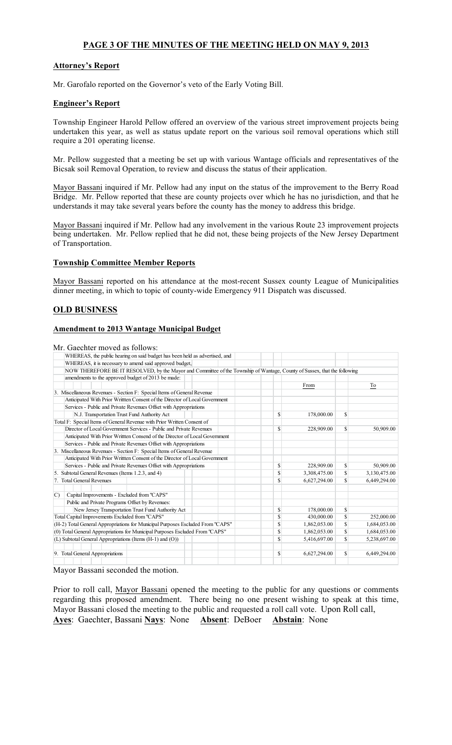# PAGE 3 OF THE MINUTES OF THE MEETING HELD ON MAY 9, 2013

### Attorney's Report

Mr. Garofalo reported on the Governor's veto of the Early Voting Bill.

#### Engineer's Report

Township Engineer Harold Pellow offered an overview of the various street improvement projects being undertaken this year, as well as status update report on the various soil removal operations which still require a 201 operating license.

Mr. Pellow suggested that a meeting be set up with various Wantage officials and representatives of the Bicsak soil Removal Operation, to review and discuss the status of their application.

Mayor Bassani inquired if Mr. Pellow had any input on the status of the improvement to the Berry Road Bridge. Mr. Pellow reported that these are county projects over which he has no jurisdiction, and that he understands it may take several years before the county has the money to address this bridge.

Mayor Bassani inquired if Mr. Pellow had any involvement in the various Route 23 improvement projects being undertaken. Mr. Pellow replied that he did not, these being projects of the New Jersey Department of Transportation.

#### Township Committee Member Reports

Mayor Bassani reported on his attendance at the most-recent Sussex county League of Municipalities dinner meeting, in which to topic of county-wide Emergency 911 Dispatch was discussed.

### OLD BUSINESS

#### Amendment to 2013 Wantage Municipal Budget

Mr. Gaechter moved as follows:

| WHEREAS, the public hearing on said budget has been held as advertised, and                                               |              |              |             |              |
|---------------------------------------------------------------------------------------------------------------------------|--------------|--------------|-------------|--------------|
| WHEREAS, it is necessary to amend said approved budget,                                                                   |              |              |             |              |
| NOW THEREFORE BE IT RESOLVED, by the Mayor and Committee of the Township of Wantage, County of Sussex, that the following |              |              |             |              |
| amendments to the approved budget of 2013 be made:                                                                        |              |              |             |              |
|                                                                                                                           |              | From         |             | To           |
| 3. Miscellaneous Revenues - Section F: Special Items of General Revenue                                                   |              |              |             |              |
| Anticipated With Prior Writtten Consent of the Director of Local Government                                               |              |              |             |              |
| Services - Public and Private Revenues Offset with Appropriations                                                         |              |              |             |              |
| N.J. Transportation Trust Fund Authority Act                                                                              | \$           | 178,000.00   | $\mathbf S$ |              |
| Total F: Special Items of General Revenue with Prior Written Consent of                                                   |              |              |             |              |
| Director of Local Government Services - Public and Private Revenues                                                       | \$           | 228,909.00   | $\mathbf S$ | 50,909.00    |
| Anticipated With Prior Writtten Consend of the Director of Local Government                                               |              |              |             |              |
| Services - Public and Private Revenues Offset with Appropriations                                                         |              |              |             |              |
| 3. Miscellaneous Revenues - Section F: Special Items of General Revenue                                                   |              |              |             |              |
| Anticipated With Prior Writtten Consent of the Director of Local Government                                               |              |              |             |              |
| Services - Public and Private Revenues Offset with Appropriations                                                         | $\mathbb{S}$ | 228,909.00   | \$          | 50,909.00    |
| 5. Subtotal General Revenues (Items 1.2.3, and 4)                                                                         | \$           | 3,308,475.00 |             | 3,130,475.00 |
| 7. Total General Revenues                                                                                                 | \$           | 6,627,294.00 |             | 6,449,294.00 |
| Capital Improvements - Excluded from "CAPS"<br>$\mathcal{C}$                                                              |              |              |             |              |
| Public and Private Programs Offset by Revenues:                                                                           |              |              |             |              |
| New Jersey Transportation Trust Fund Authority Act                                                                        | \$           | 178,000.00   | S           |              |
| Total Capital Improvements Excluded from "CAPS"                                                                           | \$           | 430,000.00   | \$.         | 252,000.00   |
| (H-2) Total General Appropriations for Municipal Purposes Escluded From "CAPS"                                            | $\mathbb{S}$ | 1,862,053.00 | \$.         | 1,684,053.00 |
| (0) Total General Appropriations for Municipal Purposes Escluded From "CAPS"                                              | \$           | 1,862,053.00 | \$          | 1,684,053.00 |
| (L) Subtotal General Appropriations (Items (H-1) and (O))                                                                 | \$           | 5,416,697.00 | \$          | 5,238,697.00 |
| 9. Total General Appropriations                                                                                           | $\mathbb{S}$ | 6,627,294.00 | Ŝ.          | 6,449,294.00 |
|                                                                                                                           |              |              |             |              |

Mayor Bassani seconded the motion.

Prior to roll call, Mayor Bassani opened the meeting to the public for any questions or comments regarding this proposed amendment. There being no one present wishing to speak at this time, Mayor Bassani closed the meeting to the public and requested a roll call vote. Upon Roll call, Ayes: Gaechter, Bassani Nays: None Absent: DeBoer Abstain: None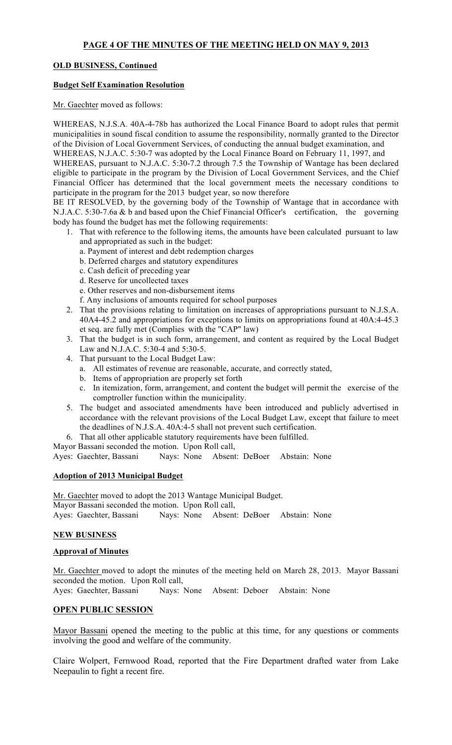# OLD BUSINESS, Continued

#### Budget Self Examination Resolution

Mr. Gaechter moved as follows:

WHEREAS, N.J.S.A. 40A-4-78b has authorized the Local Finance Board to adopt rules that permit municipalities in sound fiscal condition to assume the responsibility, normally granted to the Director of the Division of Local Government Services, of conducting the annual budget examination, and WHEREAS, N.J.A.C. 5:30-7 was adopted by the Local Finance Board on February 11, 1997, and

WHEREAS, pursuant to N.J.A.C. 5:30-7.2 through 7.5 the Township of Wantage has been declared eligible to participate in the program by the Division of Local Government Services, and the Chief Financial Officer has determined that the local government meets the necessary conditions to participate in the program for the 2013 budget year, so now therefore

BE IT RESOLVED, by the governing body of the Township of Wantage that in accordance with N.J.A.C. 5:30-7.6a & b and based upon the Chief Financial Officer's certification, the governing body has found the budget has met the following requirements:

- 1. That with reference to the following items, the amounts have been calculated pursuant to law and appropriated as such in the budget:
	- a. Payment of interest and debt redemption charges
	- b. Deferred charges and statutory expenditures
	- c. Cash deficit of preceding year
	- d. Reserve for uncollected taxes
	- e. Other reserves and non-disbursement items
	- f. Any inclusions of amounts required for school purposes
- 2. That the provisions relating to limitation on increases of appropriations pursuant to N.J.S.A. 40A4-45.2 and appropriations for exceptions to limits on appropriations found at 40A:4-45.3 et seq. are fully met (Complies with the "CAP" law)
- 3. That the budget is in such form, arrangement, and content as required by the Local Budget Law and N.J.A.C. 5:30-4 and 5:30-5.
- 4. That pursuant to the Local Budget Law:
	- a. All estimates of revenue are reasonable, accurate, and correctly stated,
	- b. Items of appropriation are properly set forth
	- c. In itemization, form, arrangement, and content the budget will permit the exercise of the comptroller function within the municipality.
- 5. The budget and associated amendments have been introduced and publicly advertised in accordance with the relevant provisions of the Local Budget Law, except that failure to meet the deadlines of N.J.S.A. 40A:4-5 shall not prevent such certification.
- 6. That all other applicable statutory requirements have been fulfilled.
- Mayor Bassani seconded the motion. Upon Roll call,

Ayes: Gaechter, Bassani Nays: None Absent: DeBoer Abstain: None

### Adoption of 2013 Municipal Budget

Mr. Gaechter moved to adopt the 2013 Wantage Municipal Budget. Mayor Bassani seconded the motion. Upon Roll call, Ayes: Gaechter, Bassani Nays: None Absent: DeBoer Abstain: None

### NEW BUSINESS

#### Approval of Minutes

Mr. Gaechter moved to adopt the minutes of the meeting held on March 28, 2013. Mayor Bassani seconded the motion. Upon Roll call, Ayes: Gaechter, Bassani Nays: None Absent: Deboer Abstain: None

### OPEN PUBLIC SESSION

Mayor Bassani opened the meeting to the public at this time, for any questions or comments involving the good and welfare of the community.

Claire Wolpert, Fernwood Road, reported that the Fire Department drafted water from Lake Neepaulin to fight a recent fire.